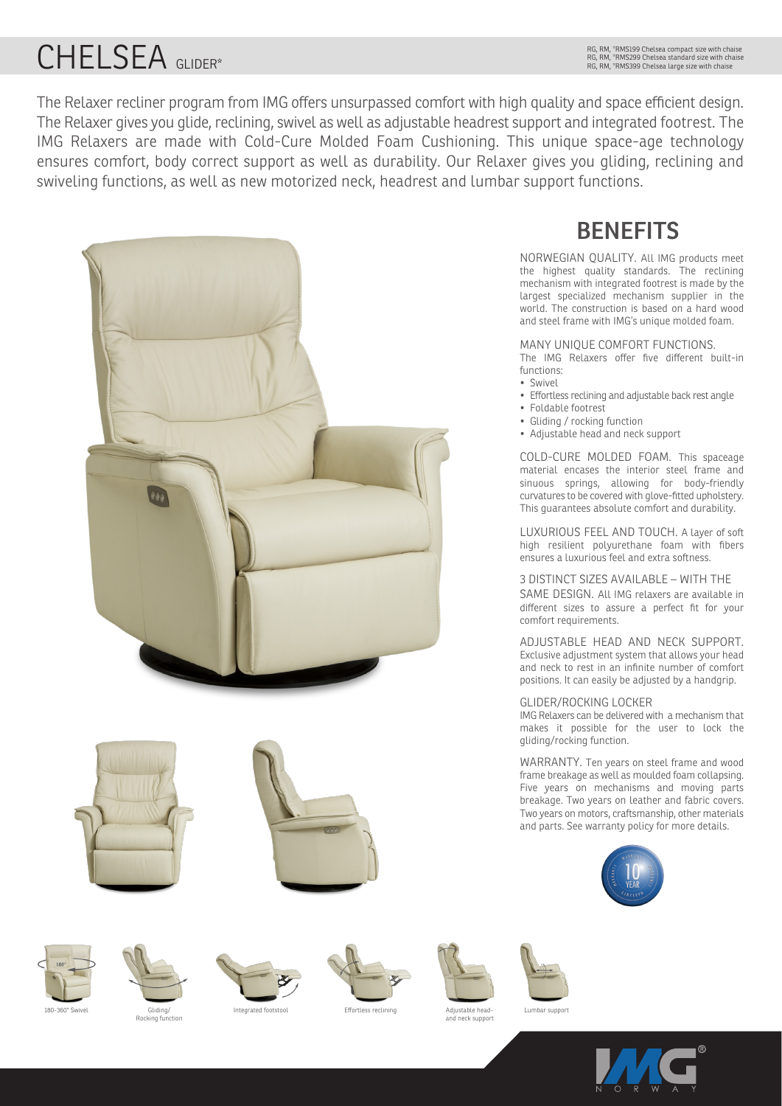# CHELSEA GLIDER\*

RG, RM, \*RMS199 Chelsea compact size with chaise RG, RM, \*RMS299 Chelsea standard size with chaise RG, RM, \*RMS399 Chelsea large size with chaise

The Relaxer recliner program from IMG offers unsurpassed comfort with high quality and space efficient design. The Relaxer gives you glide, reclining, swivel as well as adjustable headrest support and integrated footrest. The IMG Relaxers are made with Cold-Cure Molded Foam Cushioning. This unique space-age technology ensures comfort, body correct support as well as durability. Our Relaxer gives you gliding, reclining and swiveling functions, as well as new motorized neck, headrest and lumbar support functions.



# **BENEFITS**

NORWEGIAN QUALITY. All IMG products meet the highest quality standards. The reclining mechanism with integrated footrest is made by the largest specialized mechanism supplier in the world. The construction is based on a hard wood and steel frame with IMG's unique molded foam.

#### MANY UNIQUE COMFORT FUNCTIONS.

The IMG Relaxers offer five different built-in functions:

- Swivel
- Effortless reclining and adjustable back rest angle
- Foldable footrest
- Gliding / rocking function
- Adjustable head and neck support

COLD-CURE MOLDED FOAM. This spaceage material encases the interior steel frame and sinuous springs, allowing for body-friendly curvatures to be covered with glove-fitted upholstery. This guarantees absolute comfort and durability.

LUXURIOUS FEEL AND TOUCH. A layer of soft high resilient polyurethane foam with fibers ensures a luxurious feel and extra softness.

3 DISTINCT SIZES AVAILABLE – WITH THE SAME DESIGN. All IMG relaxers are available in different sizes to assure a perfect fit for your comfort requirements.

ADJUSTABLE HEAD AND NECK SUPPORT. Exclusive adjustment system that allows your head and neck to rest in an infinite number of comfort positions. It can easily be adjusted by a handgrip.

#### GLIDER/ROCKING LOCKER

IMG Relaxers can be delivered with a mechanism that makes it possible for the user to lock the gliding/rocking function.

WARRANTY. Ten years on steel frame and wood frame breakage as well as moulded foam collapsing. Five years on mechanisms and moving parts breakage. Two years on leather and fabric covers. Two years on motors, craftsmanship, other materials and parts. See warranty policy for more details.







ری...<br>Rocking function





Lumbar support





180-360° Swivel Gliding/ Integrated footstool Effortless reclining

Adjustable head-and neck support